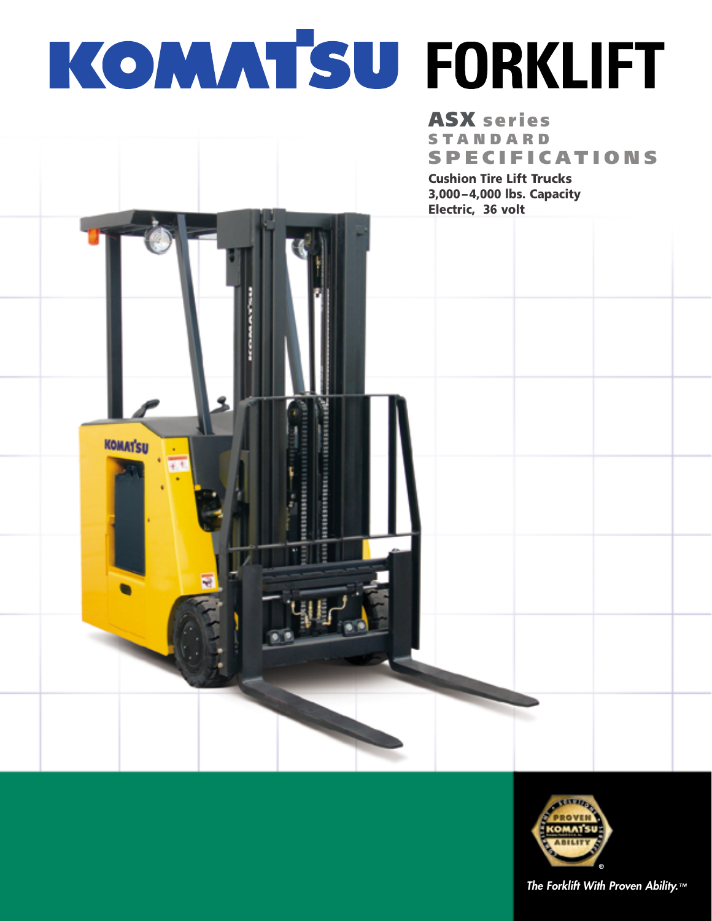# KOMAT'SU FORKLIFT

# **ASX** series **STANDARD SPECIFICATIONS**

**Cushion Tire Lift Trucks** 3,000-4,000 lbs. Capacity Electric, 36 volt



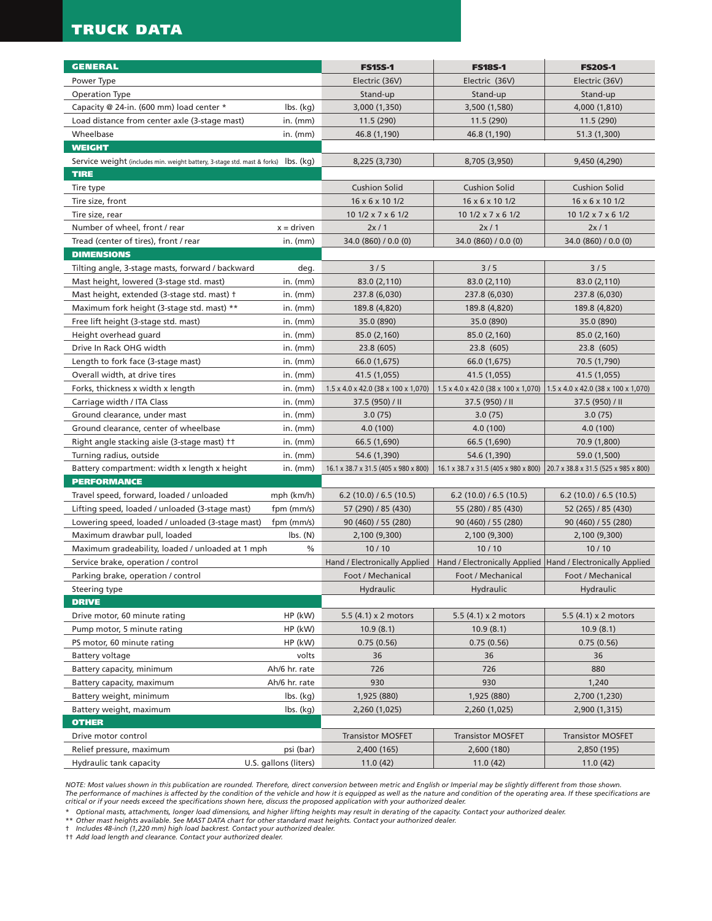# **TRUCK DATA**

| <b>GENERAL</b><br><b>FS15S-1</b><br><b>FS18S-1</b><br><b>FS20S-1</b><br>Electric (36V)<br>Electric (36V)<br>Electric (36V)<br>Power Type<br>Operation Type<br>Stand-up<br>Stand-up<br>Stand-up<br>Capacity @ 24-in. (600 mm) load center *<br>$\mathsf{lbs.}\left(\mathsf{kq}\right)$<br>3,000 (1,350)<br>3,500 (1,580)<br>4,000 (1,810)<br>Load distance from center axle (3-stage mast)<br>in. $(mm)$<br>11.5(290)<br>11.5(290)<br>11.5(290)<br>Wheelbase<br>in. $(mm)$<br>46.8 (1,190)<br>46.8 (1,190)<br>51.3 (1,300)<br><b>WEIGHT</b><br>9,450 (4,290)<br>Service weight (includes min. weight battery, 3-stage std. mast & forks) lbs. (kg)<br>8,225 (3,730)<br>8,705 (3,950)<br><b>TIRE</b><br><b>Cushion Solid</b><br><b>Cushion Solid</b><br><b>Cushion Solid</b><br>Tire type<br>16 x 6 x 10 1/2<br>16 x 6 x 10 1/2<br>16 x 6 x 10 1/2<br>Tire size, front<br>Tire size, rear<br>10 $1/2 \times 7 \times 6$ 1/2<br>$101/2 \times 7 \times 61/2$<br>$101/2 \times 7 \times 61/2$<br>Number of wheel, front / rear<br>$x =$ driven<br>2x/1<br>2x/1<br>2x/1<br>Tread (center of tires), front / rear<br>in. $(mm)$<br>34.0 (860) / 0.0 (0)<br>34.0 (860) / 0.0 (0)<br>34.0 (860) / 0.0 (0)<br><b>DIMENSIONS</b><br>Tilting angle, 3-stage masts, forward / backward<br>3/5<br>3/5<br>3/5<br>deg.<br>83.0 (2,110)<br>Mast height, lowered (3-stage std. mast)<br>in. $(mm)$<br>83.0 (2,110)<br>83.0 (2,110)<br>Mast height, extended (3-stage std. mast) †<br>in. $(mm)$<br>237.8 (6,030)<br>237.8 (6,030)<br>237.8 (6,030)<br>in. $(mm)$<br>Maximum fork height (3-stage std. mast) **<br>189.8 (4,820)<br>189.8 (4,820)<br>189.8 (4,820)<br>Free lift height (3-stage std. mast)<br>in. $(mm)$<br>35.0 (890)<br>35.0 (890)<br>35.0 (890)<br>Height overhead guard<br>in. $(mm)$<br>85.0 (2,160)<br>85.0 (2,160)<br>85.0 (2,160)<br>Drive In Rack OHG width<br>in. $(mm)$<br>23.8 (605)<br>23.8 (605)<br>23.8 (605)<br>Length to fork face (3-stage mast)<br>in. $(mm)$<br>66.0 (1,675)<br>66.0 (1,675)<br>70.5 (1,790)<br>Overall width, at drive tires<br>in. $(mm)$<br>41.5 (1,055)<br>41.5 (1,055)<br>41.5 (1,055)<br>Forks, thickness x width x length<br>in. $(mm)$<br>$1.5 \times 4.0 \times 42.0$ (38 x 100 x 1,070)<br>$1.5 \times 4.0 \times 42.0$ (38 x 100 x 1,070)<br>$1.5 \times 4.0 \times 42.0$ (38 x 100 x 1,070)<br>Carriage width / ITA Class<br>in. $(mm)$<br>37.5 (950) / II<br>37.5 (950) / II<br>37.5 (950) / II |
|------------------------------------------------------------------------------------------------------------------------------------------------------------------------------------------------------------------------------------------------------------------------------------------------------------------------------------------------------------------------------------------------------------------------------------------------------------------------------------------------------------------------------------------------------------------------------------------------------------------------------------------------------------------------------------------------------------------------------------------------------------------------------------------------------------------------------------------------------------------------------------------------------------------------------------------------------------------------------------------------------------------------------------------------------------------------------------------------------------------------------------------------------------------------------------------------------------------------------------------------------------------------------------------------------------------------------------------------------------------------------------------------------------------------------------------------------------------------------------------------------------------------------------------------------------------------------------------------------------------------------------------------------------------------------------------------------------------------------------------------------------------------------------------------------------------------------------------------------------------------------------------------------------------------------------------------------------------------------------------------------------------------------------------------------------------------------------------------------------------------------------------------------------------------------------------------------------------------------------------------------------------------------------------------------------------------------------------------------------------------------------------------------------------------------------------------|
|                                                                                                                                                                                                                                                                                                                                                                                                                                                                                                                                                                                                                                                                                                                                                                                                                                                                                                                                                                                                                                                                                                                                                                                                                                                                                                                                                                                                                                                                                                                                                                                                                                                                                                                                                                                                                                                                                                                                                                                                                                                                                                                                                                                                                                                                                                                                                                                                                                                |
|                                                                                                                                                                                                                                                                                                                                                                                                                                                                                                                                                                                                                                                                                                                                                                                                                                                                                                                                                                                                                                                                                                                                                                                                                                                                                                                                                                                                                                                                                                                                                                                                                                                                                                                                                                                                                                                                                                                                                                                                                                                                                                                                                                                                                                                                                                                                                                                                                                                |
|                                                                                                                                                                                                                                                                                                                                                                                                                                                                                                                                                                                                                                                                                                                                                                                                                                                                                                                                                                                                                                                                                                                                                                                                                                                                                                                                                                                                                                                                                                                                                                                                                                                                                                                                                                                                                                                                                                                                                                                                                                                                                                                                                                                                                                                                                                                                                                                                                                                |
|                                                                                                                                                                                                                                                                                                                                                                                                                                                                                                                                                                                                                                                                                                                                                                                                                                                                                                                                                                                                                                                                                                                                                                                                                                                                                                                                                                                                                                                                                                                                                                                                                                                                                                                                                                                                                                                                                                                                                                                                                                                                                                                                                                                                                                                                                                                                                                                                                                                |
|                                                                                                                                                                                                                                                                                                                                                                                                                                                                                                                                                                                                                                                                                                                                                                                                                                                                                                                                                                                                                                                                                                                                                                                                                                                                                                                                                                                                                                                                                                                                                                                                                                                                                                                                                                                                                                                                                                                                                                                                                                                                                                                                                                                                                                                                                                                                                                                                                                                |
|                                                                                                                                                                                                                                                                                                                                                                                                                                                                                                                                                                                                                                                                                                                                                                                                                                                                                                                                                                                                                                                                                                                                                                                                                                                                                                                                                                                                                                                                                                                                                                                                                                                                                                                                                                                                                                                                                                                                                                                                                                                                                                                                                                                                                                                                                                                                                                                                                                                |
|                                                                                                                                                                                                                                                                                                                                                                                                                                                                                                                                                                                                                                                                                                                                                                                                                                                                                                                                                                                                                                                                                                                                                                                                                                                                                                                                                                                                                                                                                                                                                                                                                                                                                                                                                                                                                                                                                                                                                                                                                                                                                                                                                                                                                                                                                                                                                                                                                                                |
|                                                                                                                                                                                                                                                                                                                                                                                                                                                                                                                                                                                                                                                                                                                                                                                                                                                                                                                                                                                                                                                                                                                                                                                                                                                                                                                                                                                                                                                                                                                                                                                                                                                                                                                                                                                                                                                                                                                                                                                                                                                                                                                                                                                                                                                                                                                                                                                                                                                |
|                                                                                                                                                                                                                                                                                                                                                                                                                                                                                                                                                                                                                                                                                                                                                                                                                                                                                                                                                                                                                                                                                                                                                                                                                                                                                                                                                                                                                                                                                                                                                                                                                                                                                                                                                                                                                                                                                                                                                                                                                                                                                                                                                                                                                                                                                                                                                                                                                                                |
|                                                                                                                                                                                                                                                                                                                                                                                                                                                                                                                                                                                                                                                                                                                                                                                                                                                                                                                                                                                                                                                                                                                                                                                                                                                                                                                                                                                                                                                                                                                                                                                                                                                                                                                                                                                                                                                                                                                                                                                                                                                                                                                                                                                                                                                                                                                                                                                                                                                |
|                                                                                                                                                                                                                                                                                                                                                                                                                                                                                                                                                                                                                                                                                                                                                                                                                                                                                                                                                                                                                                                                                                                                                                                                                                                                                                                                                                                                                                                                                                                                                                                                                                                                                                                                                                                                                                                                                                                                                                                                                                                                                                                                                                                                                                                                                                                                                                                                                                                |
|                                                                                                                                                                                                                                                                                                                                                                                                                                                                                                                                                                                                                                                                                                                                                                                                                                                                                                                                                                                                                                                                                                                                                                                                                                                                                                                                                                                                                                                                                                                                                                                                                                                                                                                                                                                                                                                                                                                                                                                                                                                                                                                                                                                                                                                                                                                                                                                                                                                |
|                                                                                                                                                                                                                                                                                                                                                                                                                                                                                                                                                                                                                                                                                                                                                                                                                                                                                                                                                                                                                                                                                                                                                                                                                                                                                                                                                                                                                                                                                                                                                                                                                                                                                                                                                                                                                                                                                                                                                                                                                                                                                                                                                                                                                                                                                                                                                                                                                                                |
|                                                                                                                                                                                                                                                                                                                                                                                                                                                                                                                                                                                                                                                                                                                                                                                                                                                                                                                                                                                                                                                                                                                                                                                                                                                                                                                                                                                                                                                                                                                                                                                                                                                                                                                                                                                                                                                                                                                                                                                                                                                                                                                                                                                                                                                                                                                                                                                                                                                |
|                                                                                                                                                                                                                                                                                                                                                                                                                                                                                                                                                                                                                                                                                                                                                                                                                                                                                                                                                                                                                                                                                                                                                                                                                                                                                                                                                                                                                                                                                                                                                                                                                                                                                                                                                                                                                                                                                                                                                                                                                                                                                                                                                                                                                                                                                                                                                                                                                                                |
|                                                                                                                                                                                                                                                                                                                                                                                                                                                                                                                                                                                                                                                                                                                                                                                                                                                                                                                                                                                                                                                                                                                                                                                                                                                                                                                                                                                                                                                                                                                                                                                                                                                                                                                                                                                                                                                                                                                                                                                                                                                                                                                                                                                                                                                                                                                                                                                                                                                |
|                                                                                                                                                                                                                                                                                                                                                                                                                                                                                                                                                                                                                                                                                                                                                                                                                                                                                                                                                                                                                                                                                                                                                                                                                                                                                                                                                                                                                                                                                                                                                                                                                                                                                                                                                                                                                                                                                                                                                                                                                                                                                                                                                                                                                                                                                                                                                                                                                                                |
|                                                                                                                                                                                                                                                                                                                                                                                                                                                                                                                                                                                                                                                                                                                                                                                                                                                                                                                                                                                                                                                                                                                                                                                                                                                                                                                                                                                                                                                                                                                                                                                                                                                                                                                                                                                                                                                                                                                                                                                                                                                                                                                                                                                                                                                                                                                                                                                                                                                |
|                                                                                                                                                                                                                                                                                                                                                                                                                                                                                                                                                                                                                                                                                                                                                                                                                                                                                                                                                                                                                                                                                                                                                                                                                                                                                                                                                                                                                                                                                                                                                                                                                                                                                                                                                                                                                                                                                                                                                                                                                                                                                                                                                                                                                                                                                                                                                                                                                                                |
|                                                                                                                                                                                                                                                                                                                                                                                                                                                                                                                                                                                                                                                                                                                                                                                                                                                                                                                                                                                                                                                                                                                                                                                                                                                                                                                                                                                                                                                                                                                                                                                                                                                                                                                                                                                                                                                                                                                                                                                                                                                                                                                                                                                                                                                                                                                                                                                                                                                |
|                                                                                                                                                                                                                                                                                                                                                                                                                                                                                                                                                                                                                                                                                                                                                                                                                                                                                                                                                                                                                                                                                                                                                                                                                                                                                                                                                                                                                                                                                                                                                                                                                                                                                                                                                                                                                                                                                                                                                                                                                                                                                                                                                                                                                                                                                                                                                                                                                                                |
|                                                                                                                                                                                                                                                                                                                                                                                                                                                                                                                                                                                                                                                                                                                                                                                                                                                                                                                                                                                                                                                                                                                                                                                                                                                                                                                                                                                                                                                                                                                                                                                                                                                                                                                                                                                                                                                                                                                                                                                                                                                                                                                                                                                                                                                                                                                                                                                                                                                |
|                                                                                                                                                                                                                                                                                                                                                                                                                                                                                                                                                                                                                                                                                                                                                                                                                                                                                                                                                                                                                                                                                                                                                                                                                                                                                                                                                                                                                                                                                                                                                                                                                                                                                                                                                                                                                                                                                                                                                                                                                                                                                                                                                                                                                                                                                                                                                                                                                                                |
|                                                                                                                                                                                                                                                                                                                                                                                                                                                                                                                                                                                                                                                                                                                                                                                                                                                                                                                                                                                                                                                                                                                                                                                                                                                                                                                                                                                                                                                                                                                                                                                                                                                                                                                                                                                                                                                                                                                                                                                                                                                                                                                                                                                                                                                                                                                                                                                                                                                |
|                                                                                                                                                                                                                                                                                                                                                                                                                                                                                                                                                                                                                                                                                                                                                                                                                                                                                                                                                                                                                                                                                                                                                                                                                                                                                                                                                                                                                                                                                                                                                                                                                                                                                                                                                                                                                                                                                                                                                                                                                                                                                                                                                                                                                                                                                                                                                                                                                                                |
|                                                                                                                                                                                                                                                                                                                                                                                                                                                                                                                                                                                                                                                                                                                                                                                                                                                                                                                                                                                                                                                                                                                                                                                                                                                                                                                                                                                                                                                                                                                                                                                                                                                                                                                                                                                                                                                                                                                                                                                                                                                                                                                                                                                                                                                                                                                                                                                                                                                |
| Ground clearance, under mast<br>in. $(mm)$<br>3.0(75)<br>3.0(75)<br>3.0(75)                                                                                                                                                                                                                                                                                                                                                                                                                                                                                                                                                                                                                                                                                                                                                                                                                                                                                                                                                                                                                                                                                                                                                                                                                                                                                                                                                                                                                                                                                                                                                                                                                                                                                                                                                                                                                                                                                                                                                                                                                                                                                                                                                                                                                                                                                                                                                                    |
| Ground clearance, center of wheelbase<br>in. $(mm)$<br>4.0(100)<br>4.0(100)<br>4.0(100)                                                                                                                                                                                                                                                                                                                                                                                                                                                                                                                                                                                                                                                                                                                                                                                                                                                                                                                                                                                                                                                                                                                                                                                                                                                                                                                                                                                                                                                                                                                                                                                                                                                                                                                                                                                                                                                                                                                                                                                                                                                                                                                                                                                                                                                                                                                                                        |
| Right angle stacking aisle (3-stage mast) ++<br>in. $(mm)$<br>66.5 (1,690)<br>66.5 (1,690)<br>70.9 (1,800)                                                                                                                                                                                                                                                                                                                                                                                                                                                                                                                                                                                                                                                                                                                                                                                                                                                                                                                                                                                                                                                                                                                                                                                                                                                                                                                                                                                                                                                                                                                                                                                                                                                                                                                                                                                                                                                                                                                                                                                                                                                                                                                                                                                                                                                                                                                                     |
| Turning radius, outside<br>in. $(mm)$<br>54.6 (1,390)<br>54.6 (1,390)<br>59.0 (1,500)                                                                                                                                                                                                                                                                                                                                                                                                                                                                                                                                                                                                                                                                                                                                                                                                                                                                                                                                                                                                                                                                                                                                                                                                                                                                                                                                                                                                                                                                                                                                                                                                                                                                                                                                                                                                                                                                                                                                                                                                                                                                                                                                                                                                                                                                                                                                                          |
| Battery compartment: width x length x height<br>in. $(mm)$<br>16.1 x 38.7 x 31.5 (405 x 980 x 800)<br>16.1 x 38.7 x 31.5 (405 x 980 x 800) 20.7 x 38.8 x 31.5 (525 x 985 x 800)                                                                                                                                                                                                                                                                                                                                                                                                                                                                                                                                                                                                                                                                                                                                                                                                                                                                                                                                                                                                                                                                                                                                                                                                                                                                                                                                                                                                                                                                                                                                                                                                                                                                                                                                                                                                                                                                                                                                                                                                                                                                                                                                                                                                                                                                |
| <b>PERFORMANCE</b>                                                                                                                                                                                                                                                                                                                                                                                                                                                                                                                                                                                                                                                                                                                                                                                                                                                                                                                                                                                                                                                                                                                                                                                                                                                                                                                                                                                                                                                                                                                                                                                                                                                                                                                                                                                                                                                                                                                                                                                                                                                                                                                                                                                                                                                                                                                                                                                                                             |
| Travel speed, forward, loaded / unloaded<br>mph (km/h)<br>6.2(10.0)/6.5(10.5)<br>6.2(10.0)/6.5(10.5)<br>6.2(10.0)/6.5(10.5)                                                                                                                                                                                                                                                                                                                                                                                                                                                                                                                                                                                                                                                                                                                                                                                                                                                                                                                                                                                                                                                                                                                                                                                                                                                                                                                                                                                                                                                                                                                                                                                                                                                                                                                                                                                                                                                                                                                                                                                                                                                                                                                                                                                                                                                                                                                    |
| Lifting speed, loaded / unloaded (3-stage mast)<br>fpm (mm/s)<br>57 (290) / 85 (430)<br>55 (280) / 85 (430)<br>52 (265) / 85 (430)                                                                                                                                                                                                                                                                                                                                                                                                                                                                                                                                                                                                                                                                                                                                                                                                                                                                                                                                                                                                                                                                                                                                                                                                                                                                                                                                                                                                                                                                                                                                                                                                                                                                                                                                                                                                                                                                                                                                                                                                                                                                                                                                                                                                                                                                                                             |
| Lowering speed, loaded / unloaded (3-stage mast)<br>90 (460) / 55 (280)<br>fpm (mm/s)<br>90 (460) / 55 (280)<br>90 (460) / 55 (280)                                                                                                                                                                                                                                                                                                                                                                                                                                                                                                                                                                                                                                                                                                                                                                                                                                                                                                                                                                                                                                                                                                                                                                                                                                                                                                                                                                                                                                                                                                                                                                                                                                                                                                                                                                                                                                                                                                                                                                                                                                                                                                                                                                                                                                                                                                            |
| Maximum drawbar pull, loaded<br>$\mathsf{lbs.}\left(\mathsf{N}\right)$<br>2,100 (9,300)<br>2,100 (9,300)<br>2,100 (9,300)                                                                                                                                                                                                                                                                                                                                                                                                                                                                                                                                                                                                                                                                                                                                                                                                                                                                                                                                                                                                                                                                                                                                                                                                                                                                                                                                                                                                                                                                                                                                                                                                                                                                                                                                                                                                                                                                                                                                                                                                                                                                                                                                                                                                                                                                                                                      |
| $\%$<br>10/10<br>10/10<br>10/10<br>Maximum gradeability, loaded / unloaded at 1 mph                                                                                                                                                                                                                                                                                                                                                                                                                                                                                                                                                                                                                                                                                                                                                                                                                                                                                                                                                                                                                                                                                                                                                                                                                                                                                                                                                                                                                                                                                                                                                                                                                                                                                                                                                                                                                                                                                                                                                                                                                                                                                                                                                                                                                                                                                                                                                            |
| Service brake, operation / control<br>Hand / Electronically Applied<br>Hand / Electronically Applied   Hand / Electronically Applied                                                                                                                                                                                                                                                                                                                                                                                                                                                                                                                                                                                                                                                                                                                                                                                                                                                                                                                                                                                                                                                                                                                                                                                                                                                                                                                                                                                                                                                                                                                                                                                                                                                                                                                                                                                                                                                                                                                                                                                                                                                                                                                                                                                                                                                                                                           |
| Parking brake, operation / control<br>Foot / Mechanical<br>Foot / Mechanical<br>Foot / Mechanical                                                                                                                                                                                                                                                                                                                                                                                                                                                                                                                                                                                                                                                                                                                                                                                                                                                                                                                                                                                                                                                                                                                                                                                                                                                                                                                                                                                                                                                                                                                                                                                                                                                                                                                                                                                                                                                                                                                                                                                                                                                                                                                                                                                                                                                                                                                                              |
| Hydraulic<br>Hydraulic<br>Hydraulic<br>Steering type                                                                                                                                                                                                                                                                                                                                                                                                                                                                                                                                                                                                                                                                                                                                                                                                                                                                                                                                                                                                                                                                                                                                                                                                                                                                                                                                                                                                                                                                                                                                                                                                                                                                                                                                                                                                                                                                                                                                                                                                                                                                                                                                                                                                                                                                                                                                                                                           |
| <b>DRIVE</b>                                                                                                                                                                                                                                                                                                                                                                                                                                                                                                                                                                                                                                                                                                                                                                                                                                                                                                                                                                                                                                                                                                                                                                                                                                                                                                                                                                                                                                                                                                                                                                                                                                                                                                                                                                                                                                                                                                                                                                                                                                                                                                                                                                                                                                                                                                                                                                                                                                   |
| Drive motor, 60 minute rating<br>HP (kW)<br>5.5 (4.1) x 2 motors<br>5.5 (4.1) x 2 motors<br>5.5 (4.1) x 2 motors                                                                                                                                                                                                                                                                                                                                                                                                                                                                                                                                                                                                                                                                                                                                                                                                                                                                                                                                                                                                                                                                                                                                                                                                                                                                                                                                                                                                                                                                                                                                                                                                                                                                                                                                                                                                                                                                                                                                                                                                                                                                                                                                                                                                                                                                                                                               |
| Pump motor, 5 minute rating<br>HP (kW)<br>10.9(8.1)<br>10.9(8.1)<br>10.9(8.1)                                                                                                                                                                                                                                                                                                                                                                                                                                                                                                                                                                                                                                                                                                                                                                                                                                                                                                                                                                                                                                                                                                                                                                                                                                                                                                                                                                                                                                                                                                                                                                                                                                                                                                                                                                                                                                                                                                                                                                                                                                                                                                                                                                                                                                                                                                                                                                  |
| PS motor, 60 minute rating<br>HP (kW)<br>0.75(0.56)<br>0.75(0.56)<br>0.75(0.56)                                                                                                                                                                                                                                                                                                                                                                                                                                                                                                                                                                                                                                                                                                                                                                                                                                                                                                                                                                                                                                                                                                                                                                                                                                                                                                                                                                                                                                                                                                                                                                                                                                                                                                                                                                                                                                                                                                                                                                                                                                                                                                                                                                                                                                                                                                                                                                |
| Battery voltage<br>volts<br>36<br>36<br>36                                                                                                                                                                                                                                                                                                                                                                                                                                                                                                                                                                                                                                                                                                                                                                                                                                                                                                                                                                                                                                                                                                                                                                                                                                                                                                                                                                                                                                                                                                                                                                                                                                                                                                                                                                                                                                                                                                                                                                                                                                                                                                                                                                                                                                                                                                                                                                                                     |
| Battery capacity, minimum<br>Ah/6 hr. rate<br>726<br>726<br>880                                                                                                                                                                                                                                                                                                                                                                                                                                                                                                                                                                                                                                                                                                                                                                                                                                                                                                                                                                                                                                                                                                                                                                                                                                                                                                                                                                                                                                                                                                                                                                                                                                                                                                                                                                                                                                                                                                                                                                                                                                                                                                                                                                                                                                                                                                                                                                                |
| 930<br>Battery capacity, maximum<br>Ah/6 hr. rate<br>930<br>1,240                                                                                                                                                                                                                                                                                                                                                                                                                                                                                                                                                                                                                                                                                                                                                                                                                                                                                                                                                                                                                                                                                                                                                                                                                                                                                                                                                                                                                                                                                                                                                                                                                                                                                                                                                                                                                                                                                                                                                                                                                                                                                                                                                                                                                                                                                                                                                                              |
| Battery weight, minimum<br>$\mathsf{lbs.}\mathsf{(kg)}$<br>1,925 (880)<br>1,925 (880)<br>2,700 (1,230)                                                                                                                                                                                                                                                                                                                                                                                                                                                                                                                                                                                                                                                                                                                                                                                                                                                                                                                                                                                                                                                                                                                                                                                                                                                                                                                                                                                                                                                                                                                                                                                                                                                                                                                                                                                                                                                                                                                                                                                                                                                                                                                                                                                                                                                                                                                                         |
| Battery weight, maximum<br>$\mathsf{lbs.}\mathsf{(kg)}$<br>2,260 (1,025)<br>2,260 (1,025)<br>2,900 (1,315)                                                                                                                                                                                                                                                                                                                                                                                                                                                                                                                                                                                                                                                                                                                                                                                                                                                                                                                                                                                                                                                                                                                                                                                                                                                                                                                                                                                                                                                                                                                                                                                                                                                                                                                                                                                                                                                                                                                                                                                                                                                                                                                                                                                                                                                                                                                                     |
| <b>OTHER</b><br>Drive motor control<br><b>Transistor MOSFET</b><br><b>Transistor MOSFET</b><br><b>Transistor MOSFET</b>                                                                                                                                                                                                                                                                                                                                                                                                                                                                                                                                                                                                                                                                                                                                                                                                                                                                                                                                                                                                                                                                                                                                                                                                                                                                                                                                                                                                                                                                                                                                                                                                                                                                                                                                                                                                                                                                                                                                                                                                                                                                                                                                                                                                                                                                                                                        |
| Relief pressure, maximum<br>psi (bar)<br>2,400 (165)<br>2,600 (180)<br>2,850 (195)                                                                                                                                                                                                                                                                                                                                                                                                                                                                                                                                                                                                                                                                                                                                                                                                                                                                                                                                                                                                                                                                                                                                                                                                                                                                                                                                                                                                                                                                                                                                                                                                                                                                                                                                                                                                                                                                                                                                                                                                                                                                                                                                                                                                                                                                                                                                                             |
| U.S. gallons (liters)<br>Hydraulic tank capacity<br>11.0(42)<br>11.0(42)<br>11.0(42)                                                                                                                                                                                                                                                                                                                                                                                                                                                                                                                                                                                                                                                                                                                                                                                                                                                                                                                                                                                                                                                                                                                                                                                                                                                                                                                                                                                                                                                                                                                                                                                                                                                                                                                                                                                                                                                                                                                                                                                                                                                                                                                                                                                                                                                                                                                                                           |

*NOTE: Most values shown in this publication are rounded. Therefore, direct conversion between metric and English or Imperial may be slightly different from those shown.*  The performance of machines is affected by the condition of the vehicle and how it is equipped as well as the nature and condition of the operating area. If these specifications are<br>critical or if your needs exceed the spe

\* Optional masts, attachments, longer load dimensions, and higher lifting heights may result in derating of the capacity. Contact your authorized dealer.<br>\*\* Other mast heights available. See MAST DATA chart for other stand

† *Includes 48-inch (1,220 mm) high load backrest. Contact your authorized dealer.*

†† *Add load length and clearance. Contact your authorized dealer.*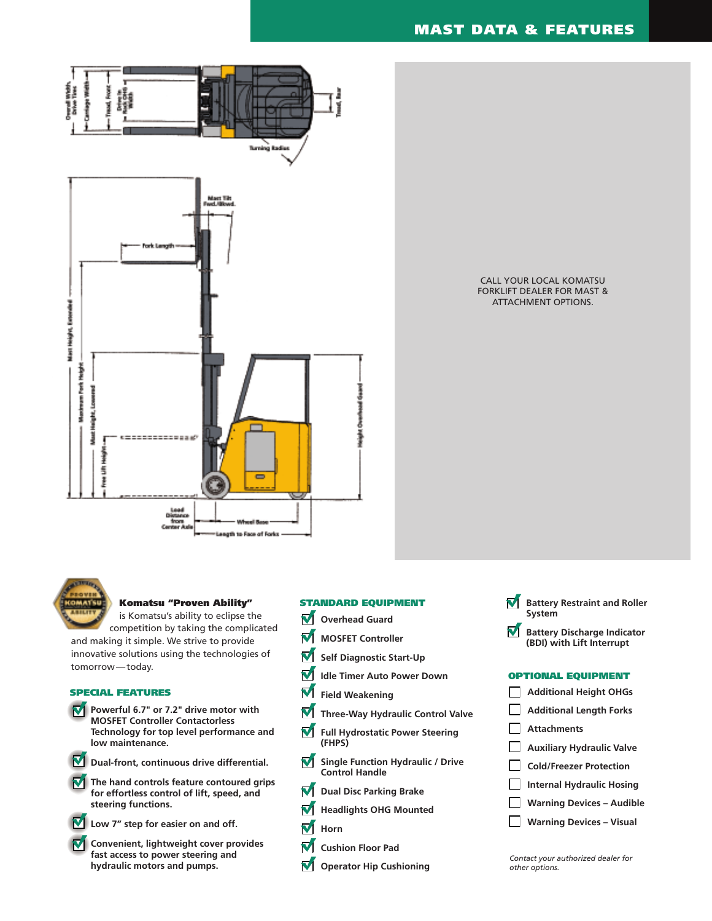

CALL YOUR LOCAL KOMATSU FORKLIFT DEALER FOR MAST & ATTACHMENT OPTIONS.



## **Komatsu "Proven Ability"**

is Komatsu's ability to eclipse the competition by taking the complicated

and making it simple. We strive to provide innovative solutions using the technologies of tomorrow — today.

# **SPECIAL FEATURES**

- **Powerful 6.7" or 7.2" drive motor with MOSFET Controller Contactorless Technology for top level performance and low maintenance.**
- - **Dual-front, continuous drive differential.**
- **The hand controls feature contoured grips for effortless control of lift, speed, and steering functions.**



- **Low 7" step for easier on and off.**
- **M** Convenient, lightweight cover provides **fast access to power steering and hydraulic motors and pumps.**

# **STANDARD EQUIPMENT**

- **V** Overhead Guard
- **MOSFET Controller**
- **Self Diagnostic Start-Up**
- M **Idle Timer Auto Power Down**
- M **Field Weakening**
- **Three-Way Hydraulic Control Valve**
- **Full Hydrostatic Power Steering (FHPS)**
- **Single Function Hydraulic / Drive Control Handle**
- **Dual Disc Parking Brake**
- **Headlights OHG Mounted**
- **M** Horn
- **Cushion Floor Pad**
- **Operator Hip Cushioning**

#### M **Battery Restraint and Roller System**

**Battery Discharge Indicator (BDI) with Lift Interrupt**

### **OPTIONAL EQUIPMENT**



**Warning Devices – Visual**

*Contact your authorized dealer for other options.*